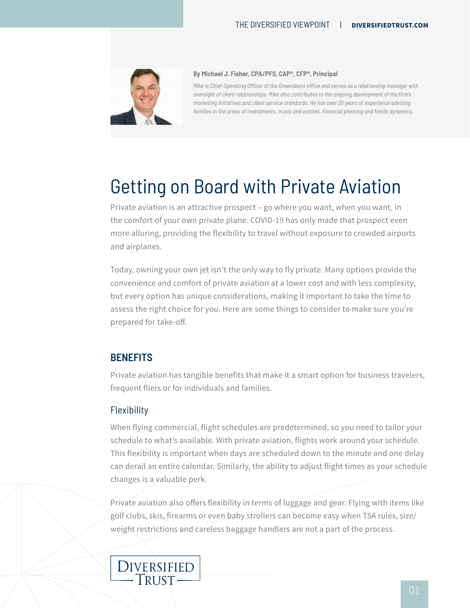

#### **By Michael J. Fisher, CPA/PFS, CAP®, CFP®, Principal**

*Mike is Chief Operating Officer of the Greensboro office and serves as a relationship manager with oversight of client relationships. Mike also contributes to the ongoing development of the firm's marketing initiatives and client service standards. He has over 20 years of experience advising families in the areas of investments, trusts and estates, financial planning and family dynamics.*

# Getting on Board with Private Aviation

Private aviation is an attractive prospect – go where you want, when you want, in the comfort of your own private plane. COVID-19 has only made that prospect even more alluring, providing the flexibility to travel without exposure to crowded airports and airplanes.

Today, owning your own jet isn't the only way to fly private. Many options provide the convenience and comfort of private aviation at a lower cost and with less complexity, but every option has unique considerations, making it important to take the time to assess the right choice for you. Here are some things to consider to make sure you're prepared for take-off.

## **BENEFITS**

Private aviation has tangible benefits that make it a smart option for business travelers, frequent fliers or for individuals and families.

## Flexibility

When flying commercial, flight schedules are predetermined, so you need to tailor your schedule to what's available. With private aviation, flights work around your schedule. This flexibility is important when days are scheduled down to the minute and one delay can derail an entire calendar. Similarly, the ability to adjust flight times as your schedule changes is a valuable perk.

Private aviation also offers flexibility in terms of luggage and gear. Flying with items like golf clubs, skis, firearms or even baby strollers can become easy when TSA rules, size/ weight restrictions and careless baggage handlers are not a part of the process.

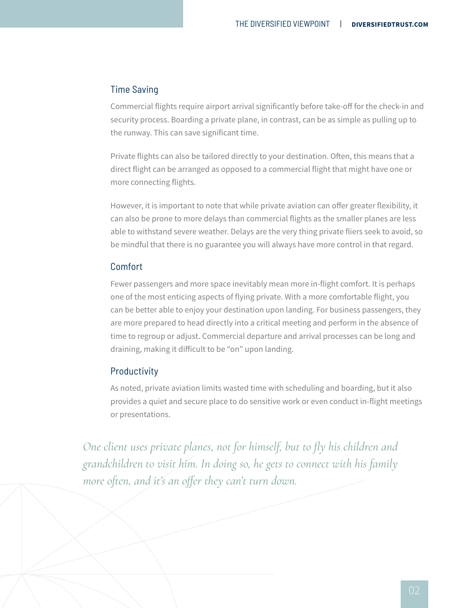#### Time Saving

Commercial flights require airport arrival significantly before take-off for the check-in and security process. Boarding a private plane, in contrast, can be as simple as pulling up to the runway. This can save significant time.

Private flights can also be tailored directly to your destination. Often, this means that a direct flight can be arranged as opposed to a commercial flight that might have one or more connecting flights.

However, it is important to note that while private aviation can offer greater flexibility, it can also be prone to more delays than commercial flights as the smaller planes are less able to withstand severe weather. Delays are the very thing private fliers seek to avoid, so be mindful that there is no guarantee you will always have more control in that regard.

## Comfort

Fewer passengers and more space inevitably mean more in-flight comfort. It is perhaps one of the most enticing aspects of flying private. With a more comfortable flight, you can be better able to enjoy your destination upon landing. For business passengers, they are more prepared to head directly into a critical meeting and perform in the absence of time to regroup or adjust. Commercial departure and arrival processes can be long and draining, making it difficult to be "on" upon landing.

#### Productivity

As noted, private aviation limits wasted time with scheduling and boarding, but it also provides a quiet and secure place to do sensitive work or even conduct in-flight meetings or presentations.

*One client uses private planes, not for himself, but to fly his children and grandchildren to visit him. In doing so, he gets to connect with his family more often, and it's an offer they can't turn down.*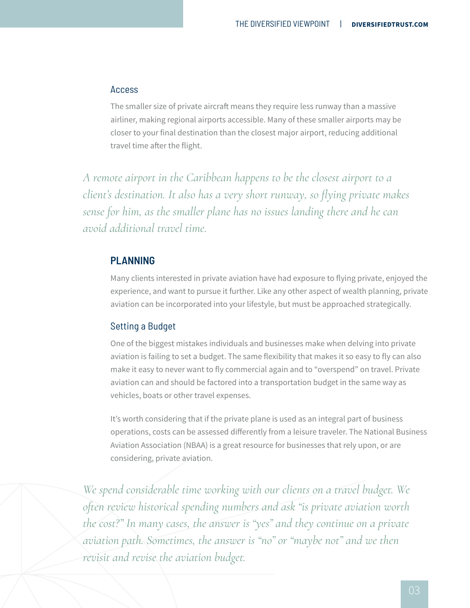#### Access

The smaller size of private aircraft means they require less runway than a massive airliner, making regional airports accessible. Many of these smaller airports may be closer to your final destination than the closest major airport, reducing additional travel time after the flight.

*A remote airport in the Caribbean happens to be the closest airport to a client's destination. It also has a very short runway, so flying private makes sense for him, as the smaller plane has no issues landing there and he can avoid additional travel time.*

## **PLANNING**

Many clients interested in private aviation have had exposure to flying private, enjoyed the experience, and want to pursue it further. Like any other aspect of wealth planning, private aviation can be incorporated into your lifestyle, but must be approached strategically.

#### Setting a Budget

One of the biggest mistakes individuals and businesses make when delving into private aviation is failing to set a budget. The same flexibility that makes it so easy to fly can also make it easy to never want to fly commercial again and to "overspend" on travel. Private aviation can and should be factored into a transportation budget in the same way as vehicles, boats or other travel expenses.

It's worth considering that if the private plane is used as an integral part of business operations, costs can be assessed differently from a leisure traveler. The National Business Aviation Association (NBAA) is a great resource for businesses that rely upon, or are considering, private aviation.

*We spend considerable time working with our clients on a travel budget. We often review historical spending numbers and ask "is private aviation worth the cost?" In many cases, the answer is "yes" and they continue on a private aviation path. Sometimes, the answer is "no" or "maybe not" and we then revisit and revise the aviation budget.*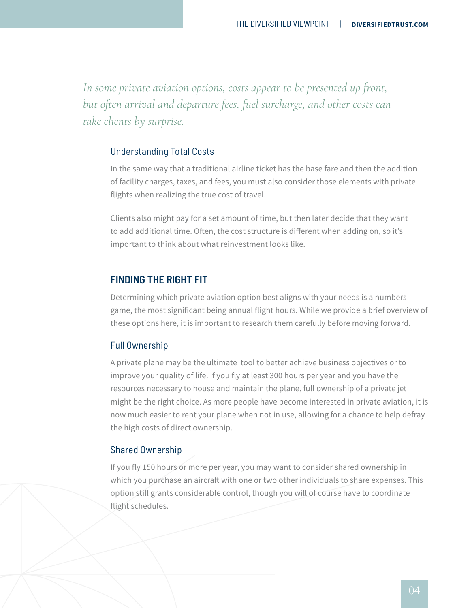In some private aviation options, costs appear to be presented up front, *but often arrival and departure fees, fuel surcharge, and other costs can take clients by surprise.* 

#### Understanding Total Costs

In the same way that a traditional airline ticket has the base fare and then the addition of facility charges, taxes, and fees, you must also consider those elements with private flights when realizing the true cost of travel.

Clients also might pay for a set amount of time, but then later decide that they want to add additional time. Often, the cost structure is different when adding on, so it's important to think about what reinvestment looks like.

## **FINDING THE RIGHT FIT**

Determining which private aviation option best aligns with your needs is a numbers game, the most significant being annual flight hours. While we provide a brief overview of these options here, it is important to research them carefully before moving forward.

#### Full Ownership

A private plane may be the ultimate tool to better achieve business objectives or to improve your quality of life. If you fly at least 300 hours per year and you have the resources necessary to house and maintain the plane, full ownership of a private jet might be the right choice. As more people have become interested in private aviation, it is now much easier to rent your plane when not in use, allowing for a chance to help defray the high costs of direct ownership.

#### Shared Ownership

If you fly 150 hours or more per year, you may want to consider shared ownership in which you purchase an aircraft with one or two other individuals to share expenses. This option still grants considerable control, though you will of course have to coordinate flight schedules.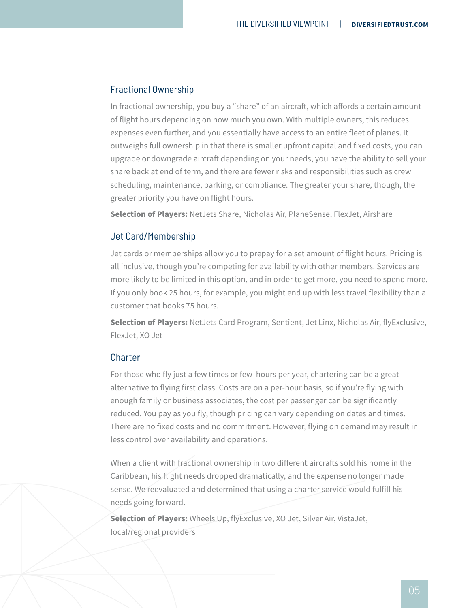## Fractional Ownership

In fractional ownership, you buy a "share" of an aircraft, which affords a certain amount of flight hours depending on how much you own. With multiple owners, this reduces expenses even further, and you essentially have access to an entire fleet of planes. It outweighs full ownership in that there is smaller upfront capital and fixed costs, you can upgrade or downgrade aircraft depending on your needs, you have the ability to sell your share back at end of term, and there are fewer risks and responsibilities such as crew scheduling, maintenance, parking, or compliance. The greater your share, though, the greater priority you have on flight hours.

**Selection of Players:** NetJets Share, Nicholas Air, PlaneSense, FlexJet, Airshare

## Jet Card/Membership

Jet cards or memberships allow you to prepay for a set amount of flight hours. Pricing is all inclusive, though you're competing for availability with other members. Services are more likely to be limited in this option, and in order to get more, you need to spend more. If you only book 25 hours, for example, you might end up with less travel flexibility than a customer that books 75 hours.

**Selection of Players:** NetJets Card Program, Sentient, Jet Linx, Nicholas Air, flyExclusive, FlexJet, XO Jet

#### Charter

For those who fly just a few times or few hours per year, chartering can be a great alternative to flying first class. Costs are on a per-hour basis, so if you're flying with enough family or business associates, the cost per passenger can be significantly reduced. You pay as you fly, though pricing can vary depending on dates and times. There are no fixed costs and no commitment. However, flying on demand may result in less control over availability and operations.

When a client with fractional ownership in two different aircrafts sold his home in the Caribbean, his flight needs dropped dramatically, and the expense no longer made sense. We reevaluated and determined that using a charter service would fulfill his needs going forward.

**Selection of Players:** Wheels Up, flyExclusive, XO Jet, Silver Air, VistaJet, local/regional providers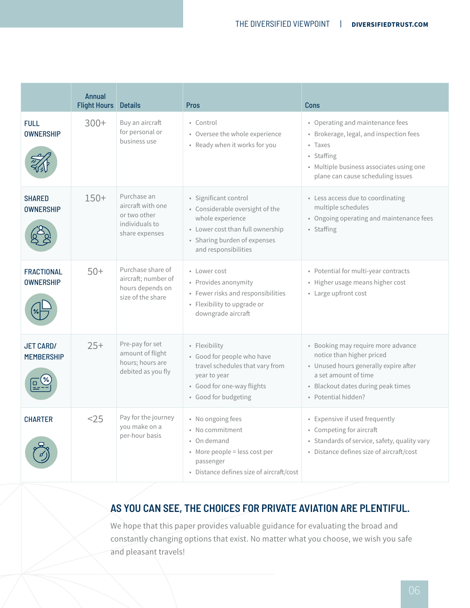|                                       | <b>Annual</b><br><b>Flight Hours</b> | <b>Details</b>                                                                       | <b>Pros</b>                                                                                                                                                              | <b>Cons</b>                                                                                                                                                                                   |
|---------------------------------------|--------------------------------------|--------------------------------------------------------------------------------------|--------------------------------------------------------------------------------------------------------------------------------------------------------------------------|-----------------------------------------------------------------------------------------------------------------------------------------------------------------------------------------------|
| <b>FULL</b><br><b>OWNERSHIP</b>       | $300+$                               | Buy an aircraft<br>for personal or<br>business use                                   | • Control<br>• Oversee the whole experience<br>• Ready when it works for you                                                                                             | • Operating and maintenance fees<br>• Brokerage, legal, and inspection fees<br>• Taxes<br>• Staffing<br>• Multiple business associates using one<br>plane can cause scheduling issues         |
| <b>SHARED</b><br><b>OWNERSHIP</b>     | $150+$                               | Purchase an<br>aircraft with one<br>or two other<br>individuals to<br>share expenses | • Significant control<br>• Considerable oversight of the<br>whole experience<br>• Lower cost than full ownership<br>• Sharing burden of expenses<br>and responsibilities | • Less access due to coordinating<br>multiple schedules<br>• Ongoing operating and maintenance fees<br>• Staffing                                                                             |
| <b>FRACTIONAL</b><br><b>OWNERSHIP</b> | $50+$                                | Purchase share of<br>aircraft; number of<br>hours depends on<br>size of the share    | • Lower cost<br>• Provides anonymity<br>• Fewer risks and responsibilities<br>· Flexibility to upgrade or<br>downgrade aircraft                                          | • Potential for multi-year contracts<br>• Higher usage means higher cost<br>• Large upfront cost                                                                                              |
| <b>JET CARD/</b><br><b>MEMBERSHIP</b> | $25+$                                | Pre-pay for set<br>amount of flight<br>hours; hours are<br>debited as you fly        | • Flexibility<br>· Good for people who have<br>travel schedules that vary from<br>year to year<br>· Good for one-way flights<br>· Good for budgeting                     | • Booking may require more advance<br>notice than higher priced<br>• Unused hours generally expire after<br>a set amount of time<br>• Blackout dates during peak times<br>· Potential hidden? |
| <b>CHARTER</b>                        | $<$ 25                               | Pay for the journey<br>you make on a<br>per-hour basis                               | · No ongoing fees<br>• No commitment<br>• On demand<br>• More people = less cost per<br>passenger<br>• Distance defines size of aircraft/cost                            | • Expensive if used frequently<br>• Competing for aircraft<br>• Standards of service, safety, quality vary<br>• Distance defines size of aircraft/cost                                        |

## **AS YOU CAN SEE, THE CHOICES FOR PRIVATE AVIATION ARE PLENTIFUL.**

We hope that this paper provides valuable guidance for evaluating the broad and constantly changing options that exist. No matter what you choose, we wish you safe and pleasant travels!